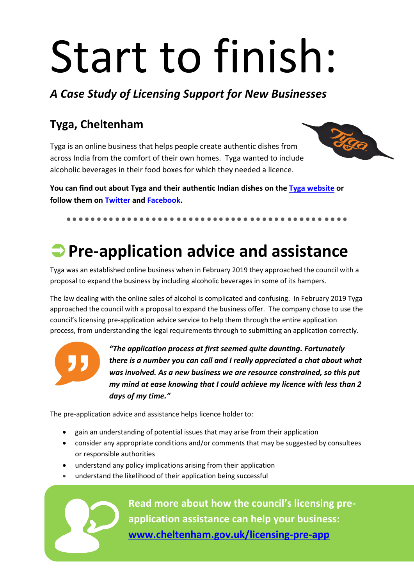# Start to finish:

*A Case Study of Licensing Support for New Businesses*

#### **Tyga, Cheltenham**

Tyga is an online business that helps people create authentic dishes from across India from the comfort of their own homes. Tyga wanted to include alcoholic beverages in their food boxes for which they needed a licence.



**You can find out about Tyga and their authentic Indian dishes on th[e Tyga website](https://tyga.com/) or follow them on [Twitter](https://twitter.com/TygaBites) an[d Facebook.](https://www.facebook.com/pages/Tyga-Bites/104898683187654)**

#### **Pre-application advice and assistance**

Tyga was an established online business when in February 2019 they approached the council with a proposal to expand the business by including alcoholic beverages in some of its hampers.

The law dealing with the online sales of alcohol is complicated and confusing. In February 2019 Tyga approached the council with a proposal to expand the business offer. The company chose to use the council's licensing pre-application advice service to help them through the entire application process, from understanding the legal requirements through to submitting an application correctly.



*"The application process at first seemed quite daunting. Fortunately there is a number you can call and I really appreciated a chat about what was involved. As a new business we are resource constrained, so this put my mind at ease knowing that I could achieve my licence with less than 2 days of my time."*

The pre-application advice and assistance helps licence holder to:

- gain an understanding of potential issues that may arise from their application
- consider any appropriate conditions and/or comments that may be suggested by consultees or responsible authorities
- understand any policy implications arising from their application
- understand the likelihood of their application being successful

**Read more about how the council's licensing preapplication assistance can help your business: [www.cheltenham.gov.uk/licensing-pre-app](http://www.cheltenham.gov.uk/licensing-pre-app)**